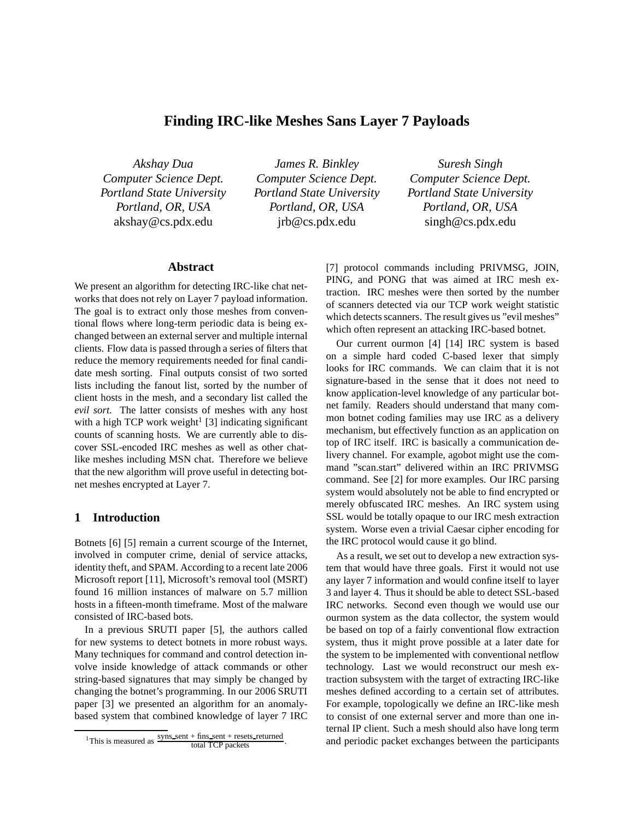# **Finding IRC-like Meshes Sans Layer 7 Payloads**

*Akshay Dua Computer Science Dept. Portland State University Portland, OR, USA* akshay@cs.pdx.edu

*James R. Binkley Computer Science Dept. Portland State University Portland, OR, USA* jrb@cs.pdx.edu

*Suresh Singh Computer Science Dept. Portland State University Portland, OR, USA* singh@cs.pdx.edu

### **Abstract**

We present an algorithm for detecting IRC-like chat networks that does not rely on Layer 7 payload information. The goal is to extract only those meshes from conventional flows where long-term periodic data is being exchanged between an external server and multiple internal clients. Flow data is passed through a series of filters that reduce the memory requirements needed for final candidate mesh sorting. Final outputs consist of two sorted lists including the fanout list, sorted by the number of client hosts in the mesh, and a secondary list called the *evil sort*. The latter consists of meshes with any host with a high TCP work weight<sup>1</sup> [3] indicating significant counts of scanning hosts. We are currently able to discover SSL-encoded IRC meshes as well as other chatlike meshes including MSN chat. Therefore we believe that the new algorithm will prove useful in detecting botnet meshes encrypted at Layer 7.

#### **1 Introduction**

Botnets [6] [5] remain a current scourge of the Internet, involved in computer crime, denial of service attacks, identity theft, and SPAM. According to a recent late 2006 Microsoft report [11], Microsoft's removal tool (MSRT) found 16 million instances of malware on 5.7 million hosts in a fifteen-month timeframe. Most of the malware consisted of IRC-based bots.

In a previous SRUTI paper [5], the authors called for new systems to detect botnets in more robust ways. Many techniques for command and control detection involve inside knowledge of attack commands or other string-based signatures that may simply be changed by changing the botnet's programming. In our 2006 SRUTI paper [3] we presented an algorithm for an anomalybased system that combined knowledge of layer 7 IRC [7] protocol commands including PRIVMSG, JOIN, PING, and PONG that was aimed at IRC mesh extraction. IRC meshes were then sorted by the number of scanners detected via our TCP work weight statistic which detects scanners. The result gives us "evil meshes" which often represent an attacking IRC-based botnet.

Our current ourmon [4] [14] IRC system is based on a simple hard coded C-based lexer that simply looks for IRC commands. We can claim that it is not signature-based in the sense that it does not need to know application-level knowledge of any particular botnet family. Readers should understand that many common botnet coding families may use IRC as a delivery mechanism, but effectively function as an application on top of IRC itself. IRC is basically a communication delivery channel. For example, agobot might use the command "scan.start" delivered within an IRC PRIVMSG command. See [2] for more examples. Our IRC parsing system would absolutely not be able to find encrypted or merely obfuscated IRC meshes. An IRC system using SSL would be totally opaque to our IRC mesh extraction system. Worse even a trivial Caesar cipher encoding for the IRC protocol would cause it go blind.

As a result, we set out to develop a new extraction system that would have three goals. First it would not use any layer 7 information and would confine itself to layer 3 and layer 4. Thus it should be able to detect SSL-based IRC networks. Second even though we would use our ourmon system as the data collector, the system would be based on top of a fairly conventional flow extraction system, thus it might prove possible at a later date for the system to be implemented with conventional netflow technology. Last we would reconstruct our mesh extraction subsystem with the target of extracting IRC-like meshes defined according to a certain set of attributes. For example, topologically we define an IRC-like mesh to consist of one external server and more than one internal IP client. Such a mesh should also have long term and periodic packet exchanges between the participants

<sup>&</sup>lt;sup>1</sup>This is measured as  $\frac{\text{syns\_sent} + \text{fins\_sent} + \text{resets\_returned}}{\text{total TCP packets}}$ .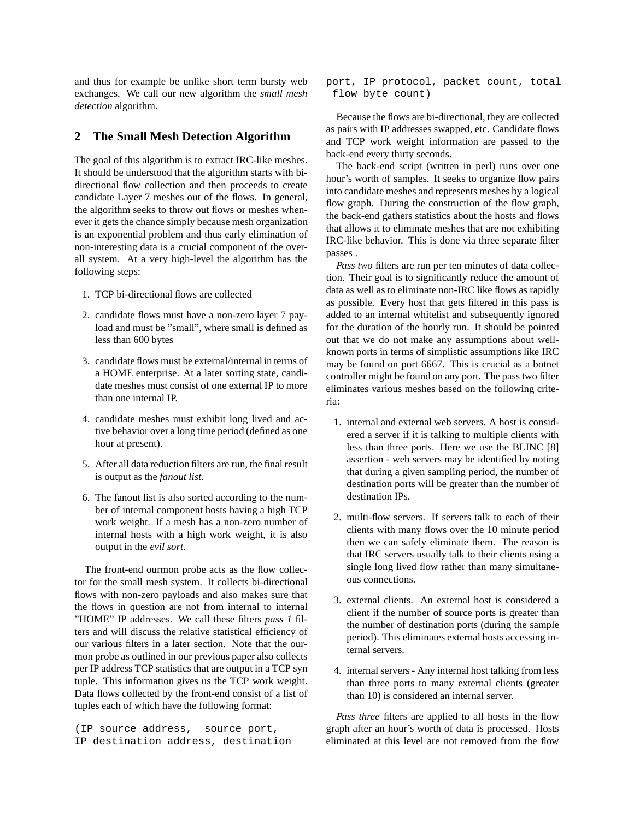and thus for example be unlike short term bursty web exchanges. We call our new algorithm the *small mesh detection* algorithm.

## **2 The Small Mesh Detection Algorithm**

The goal of this algorithm is to extract IRC-like meshes. It should be understood that the algorithm starts with bidirectional flow collection and then proceeds to create candidate Layer 7 meshes out of the flows. In general, the algorithm seeks to throw out flows or meshes whenever it gets the chance simply because mesh organization is an exponential problem and thus early elimination of non-interesting data is a crucial component of the overall system. At a very high-level the algorithm has the following steps:

- 1. TCP bi-directional flows are collected
- 2. candidate flows must have a non-zero layer 7 payload and must be "small", where small is defined as less than 600 bytes
- 3. candidate flows must be external/internal in terms of a HOME enterprise. At a later sorting state, candidate meshes must consist of one external IP to more than one internal IP.
- 4. candidate meshes must exhibit long lived and active behavior over a long time period (defined as one hour at present).
- 5. After all data reduction filters are run, the final result is output as the *fanout list*.
- 6. The fanout list is also sorted according to the number of internal component hosts having a high TCP work weight. If a mesh has a non-zero number of internal hosts with a high work weight, it is also output in the *evil sort*.

The front-end ourmon probe acts as the flow collector for the small mesh system. It collects bi-directional flows with non-zero payloads and also makes sure that the flows in question are not from internal to internal "HOME" IP addresses. We call these filters *pass 1* filters and will discuss the relative statistical efficiency of our various filters in a later section. Note that the ourmon probe as outlined in our previous paper also collects per IP address TCP statistics that are output in a TCP syn tuple. This information gives us the TCP work weight. Data flows collected by the front-end consist of a list of tuples each of which have the following format:

(IP source address, source port, IP destination address, destination port, IP protocol, packet count, total flow byte count)

Because the flows are bi-directional, they are collected as pairs with IP addresses swapped, etc. Candidate flows and TCP work weight information are passed to the back-end every thirty seconds.

The back-end script (written in perl) runs over one hour's worth of samples. It seeks to organize flow pairs into candidate meshes and represents meshes by a logical flow graph. During the construction of the flow graph, the back-end gathers statistics about the hosts and flows that allows it to eliminate meshes that are not exhibiting IRC-like behavior. This is done via three separate filter passes .

*Pass two* filters are run per ten minutes of data collection. Their goal is to significantly reduce the amount of data as well as to eliminate non-IRC like flows as rapidly as possible. Every host that gets filtered in this pass is added to an internal whitelist and subsequently ignored for the duration of the hourly run. It should be pointed out that we do not make any assumptions about wellknown ports in terms of simplistic assumptions like IRC may be found on port 6667. This is crucial as a botnet controller might be found on any port. The pass two filter eliminates various meshes based on the following criteria:

- 1. internal and external web servers. A host is considered a server if it is talking to multiple clients with less than three ports. Here we use the BLINC [8] assertion - web servers may be identified by noting that during a given sampling period, the number of destination ports will be greater than the number of destination IPs.
- 2. multi-flow servers. If servers talk to each of their clients with many flows over the 10 minute period then we can safely eliminate them. The reason is that IRC servers usually talk to their clients using a single long lived flow rather than many simultaneous connections.
- 3. external clients. An external host is considered a client if the number of source ports is greater than the number of destination ports (during the sample period). This eliminates external hosts accessing internal servers.
- 4. internal servers Any internal host talking from less than three ports to many external clients (greater than 10) is considered an internal server.

*Pass three* filters are applied to all hosts in the flow graph after an hour's worth of data is processed. Hosts eliminated at this level are not removed from the flow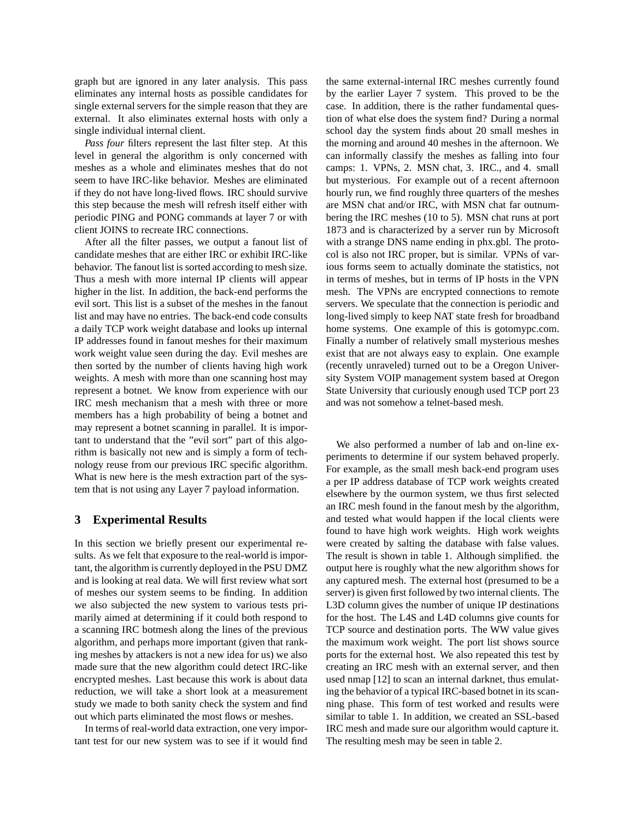graph but are ignored in any later analysis. This pass eliminates any internal hosts as possible candidates for single external servers for the simple reason that they are external. It also eliminates external hosts with only a single individual internal client.

*Pass four* filters represent the last filter step. At this level in general the algorithm is only concerned with meshes as a whole and eliminates meshes that do not seem to have IRC-like behavior. Meshes are eliminated if they do not have long-lived flows. IRC should survive this step because the mesh will refresh itself either with periodic PING and PONG commands at layer 7 or with client JOINS to recreate IRC connections.

After all the filter passes, we output a fanout list of candidate meshes that are either IRC or exhibit IRC-like behavior. The fanout list is sorted according to mesh size. Thus a mesh with more internal IP clients will appear higher in the list. In addition, the back-end performs the evil sort. This list is a subset of the meshes in the fanout list and may have no entries. The back-end code consults a daily TCP work weight database and looks up internal IP addresses found in fanout meshes for their maximum work weight value seen during the day. Evil meshes are then sorted by the number of clients having high work weights. A mesh with more than one scanning host may represent a botnet. We know from experience with our IRC mesh mechanism that a mesh with three or more members has a high probability of being a botnet and may represent a botnet scanning in parallel. It is important to understand that the "evil sort" part of this algorithm is basically not new and is simply a form of technology reuse from our previous IRC specific algorithm. What is new here is the mesh extraction part of the system that is not using any Layer 7 payload information.

#### **3 Experimental Results**

In this section we briefly present our experimental results. As we felt that exposure to the real-world is important, the algorithm is currently deployed in the PSU DMZ and is looking at real data. We will first review what sort of meshes our system seems to be finding. In addition we also subjected the new system to various tests primarily aimed at determining if it could both respond to a scanning IRC botmesh along the lines of the previous algorithm, and perhaps more important (given that ranking meshes by attackers is not a new idea for us) we also made sure that the new algorithm could detect IRC-like encrypted meshes. Last because this work is about data reduction, we will take a short look at a measurement study we made to both sanity check the system and find out which parts eliminated the most flows or meshes.

In terms of real-world data extraction, one very important test for our new system was to see if it would find the same external-internal IRC meshes currently found by the earlier Layer 7 system. This proved to be the case. In addition, there is the rather fundamental question of what else does the system find? During a normal school day the system finds about 20 small meshes in the morning and around 40 meshes in the afternoon. We can informally classify the meshes as falling into four camps: 1. VPNs, 2. MSN chat, 3. IRC., and 4. small but mysterious. For example out of a recent afternoon hourly run, we find roughly three quarters of the meshes are MSN chat and/or IRC, with MSN chat far outnumbering the IRC meshes (10 to 5). MSN chat runs at port 1873 and is characterized by a server run by Microsoft with a strange DNS name ending in phx.gbl. The protocol is also not IRC proper, but is similar. VPNs of various forms seem to actually dominate the statistics, not in terms of meshes, but in terms of IP hosts in the VPN mesh. The VPNs are encrypted connections to remote servers. We speculate that the connection is periodic and long-lived simply to keep NAT state fresh for broadband home systems. One example of this is gotomypc.com. Finally a number of relatively small mysterious meshes exist that are not always easy to explain. One example (recently unraveled) turned out to be a Oregon University System VOIP management system based at Oregon State University that curiously enough used TCP port 23 and was not somehow a telnet-based mesh.

We also performed a number of lab and on-line experiments to determine if our system behaved properly. For example, as the small mesh back-end program uses a per IP address database of TCP work weights created elsewhere by the ourmon system, we thus first selected an IRC mesh found in the fanout mesh by the algorithm, and tested what would happen if the local clients were found to have high work weights. High work weights were created by salting the database with false values. The result is shown in table 1. Although simplified. the output here is roughly what the new algorithm shows for any captured mesh. The external host (presumed to be a server) is given first followed by two internal clients. The L3D column gives the number of unique IP destinations for the host. The L4S and L4D columns give counts for TCP source and destination ports. The WW value gives the maximum work weight. The port list shows source ports for the external host. We also repeated this test by creating an IRC mesh with an external server, and then used nmap [12] to scan an internal darknet, thus emulating the behavior of a typical IRC-based botnet in its scanning phase. This form of test worked and results were similar to table 1. In addition, we created an SSL-based IRC mesh and made sure our algorithm would capture it. The resulting mesh may be seen in table 2.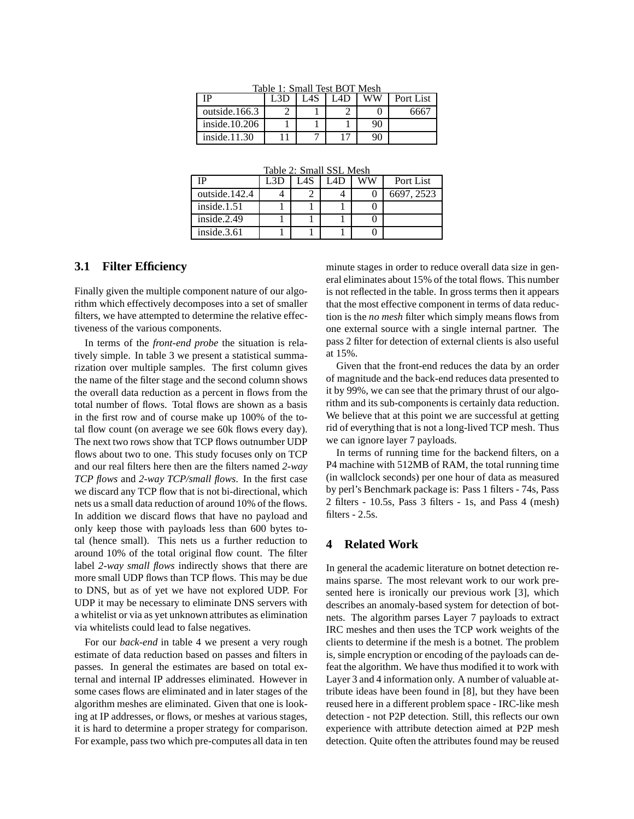| ΙP               | Tadie 1: Small Test BUT Mesh<br>L3E | I AS | AD | ww | Port List |
|------------------|-------------------------------------|------|----|----|-----------|
| outside.166.3    |                                     |      |    |    | 6667      |
| inside. $10.206$ |                                     |      |    | 90 |           |
| inside.11.30     |                                     |      |    |    |           |

 $T_{\text{eff}}$  1:  $S_{\text{max}}$  11  $T_{\text{ext}}$  BOT Mesh

Table 2: Small SSL Mesh

| ſР             | L3D | <b>LAS</b> | I 4D | ww | Port List  |
|----------------|-----|------------|------|----|------------|
| outside.142.4  |     |            |      |    | 6697, 2523 |
| inside. $1.51$ |     |            |      |    |            |
| inside.2.49    |     |            |      |    |            |
| inside. $3.61$ |     |            |      |    |            |

#### **3.1 Filter Efficiency**

Finally given the multiple component nature of our algorithm which effectively decomposes into a set of smaller filters, we have attempted to determine the relative effectiveness of the various components.

In terms of the *front-end probe* the situation is relatively simple. In table 3 we present a statistical summarization over multiple samples. The first column gives the name of the filter stage and the second column shows the overall data reduction as a percent in flows from the total number of flows. Total flows are shown as a basis in the first row and of course make up 100% of the total flow count (on average we see 60k flows every day). The next two rows show that TCP flows outnumber UDP flows about two to one. This study focuses only on TCP and our real filters here then are the filters named *2-way TCP flows* and *2-way TCP/small flows*. In the first case we discard any TCP flow that is not bi-directional, which nets us a small data reduction of around 10% of the flows. In addition we discard flows that have no payload and only keep those with payloads less than 600 bytes total (hence small). This nets us a further reduction to around 10% of the total original flow count. The filter label *2-way small flows* indirectly shows that there are more small UDP flows than TCP flows. This may be due to DNS, but as of yet we have not explored UDP. For UDP it may be necessary to eliminate DNS servers with a whitelist or via as yet unknown attributes as elimination via whitelists could lead to false negatives.

For our *back-end* in table 4 we present a very rough estimate of data reduction based on passes and filters in passes. In general the estimates are based on total external and internal IP addresses eliminated. However in some cases flows are eliminated and in later stages of the algorithm meshes are eliminated. Given that one is looking at IP addresses, or flows, or meshes at various stages, it is hard to determine a proper strategy for comparison. For example, pass two which pre-computes all data in ten minute stages in order to reduce overall data size in general eliminates about 15% of the total flows. This number is not reflected in the table. In gross terms then it appears that the most effective component in terms of data reduction is the *no mesh* filter which simply means flows from one external source with a single internal partner. The pass 2 filter for detection of external clients is also useful at 15%.

Given that the front-end reduces the data by an order of magnitude and the back-end reduces data presented to it by 99%, we can see that the primary thrust of our algorithm and its sub-components is certainly data reduction. We believe that at this point we are successful at getting rid of everything that is not a long-lived TCP mesh. Thus we can ignore layer 7 payloads.

In terms of running time for the backend filters, on a P4 machine with 512MB of RAM, the total running time (in wallclock seconds) per one hour of data as measured by perl's Benchmark package is: Pass 1 filters - 74s, Pass 2 filters - 10.5s, Pass 3 filters - 1s, and Pass 4 (mesh) filters - 2.5s.

### **4 Related Work**

In general the academic literature on botnet detection remains sparse. The most relevant work to our work presented here is ironically our previous work [3], which describes an anomaly-based system for detection of botnets. The algorithm parses Layer 7 payloads to extract IRC meshes and then uses the TCP work weights of the clients to determine if the mesh is a botnet. The problem is, simple encryption or encoding of the payloads can defeat the algorithm. We have thus modified it to work with Layer 3 and 4 information only. A number of valuable attribute ideas have been found in [8], but they have been reused here in a different problem space - IRC-like mesh detection - not P2P detection. Still, this reflects our own experience with attribute detection aimed at P2P mesh detection. Quite often the attributes found may be reused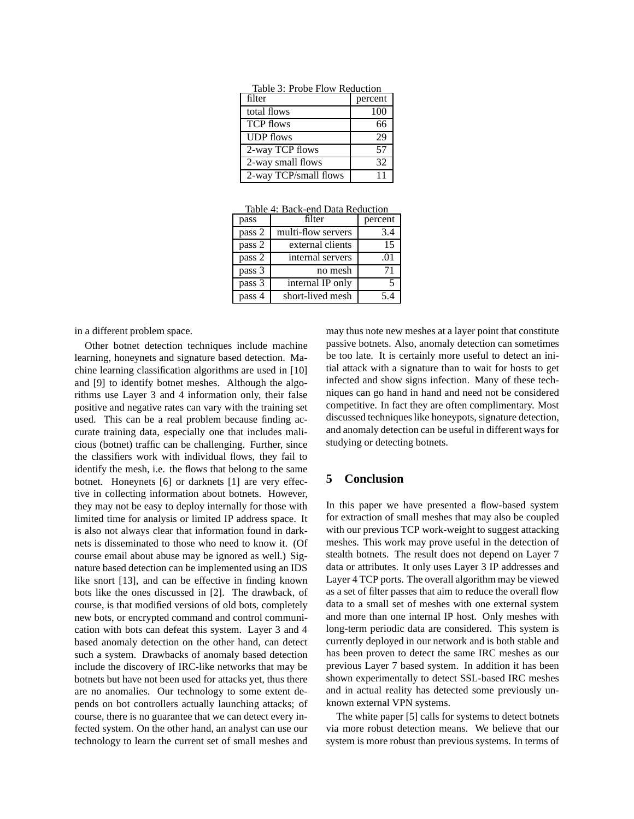| Table 5. PTODE FIOW Requestion |         |  |  |  |
|--------------------------------|---------|--|--|--|
| filter                         | percent |  |  |  |
| total flows                    | 100     |  |  |  |
| <b>TCP</b> flows               | 66      |  |  |  |
| <b>UDP</b> flows               | 29      |  |  |  |
| 2-way TCP flows                | 57      |  |  |  |
| 2-way small flows              | 32      |  |  |  |
| 2-way TCP/small flows          | 11      |  |  |  |

Table 3: Probe Flow Reduction

Table 4: Back-end Data Reduction

| pass   | filter             | percent |
|--------|--------------------|---------|
| pass 2 | multi-flow servers | 3.4     |
| pass 2 | external clients   | 15      |
| pass 2 | internal servers   | .01     |
| pass 3 | no mesh            | 71      |
| pass 3 | internal IP only   |         |
| pass 4 | short-lived mesh   | 54      |

in a different problem space.

Other botnet detection techniques include machine learning, honeynets and signature based detection. Machine learning classification algorithms are used in [10] and [9] to identify botnet meshes. Although the algorithms use Layer 3 and 4 information only, their false positive and negative rates can vary with the training set used. This can be a real problem because finding accurate training data, especially one that includes malicious (botnet) traffic can be challenging. Further, since the classifiers work with individual flows, they fail to identify the mesh, i.e. the flows that belong to the same botnet. Honeynets [6] or darknets [1] are very effective in collecting information about botnets. However, they may not be easy to deploy internally for those with limited time for analysis or limited IP address space. It is also not always clear that information found in darknets is disseminated to those who need to know it. (Of course email about abuse may be ignored as well.) Signature based detection can be implemented using an IDS like snort [13], and can be effective in finding known bots like the ones discussed in [2]. The drawback, of course, is that modified versions of old bots, completely new bots, or encrypted command and control communication with bots can defeat this system. Layer 3 and 4 based anomaly detection on the other hand, can detect such a system. Drawbacks of anomaly based detection include the discovery of IRC-like networks that may be botnets but have not been used for attacks yet, thus there are no anomalies. Our technology to some extent depends on bot controllers actually launching attacks; of course, there is no guarantee that we can detect every infected system. On the other hand, an analyst can use our technology to learn the current set of small meshes and may thus note new meshes at a layer point that constitute passive botnets. Also, anomaly detection can sometimes be too late. It is certainly more useful to detect an initial attack with a signature than to wait for hosts to get infected and show signs infection. Many of these techniques can go hand in hand and need not be considered competitive. In fact they are often complimentary. Most discussed techniques like honeypots, signature detection, and anomaly detection can be useful in different ways for studying or detecting botnets.

## **5 Conclusion**

In this paper we have presented a flow-based system for extraction of small meshes that may also be coupled with our previous TCP work-weight to suggest attacking meshes. This work may prove useful in the detection of stealth botnets. The result does not depend on Layer 7 data or attributes. It only uses Layer 3 IP addresses and Layer 4 TCP ports. The overall algorithm may be viewed as a set of filter passes that aim to reduce the overall flow data to a small set of meshes with one external system and more than one internal IP host. Only meshes with long-term periodic data are considered. This system is currently deployed in our network and is both stable and has been proven to detect the same IRC meshes as our previous Layer 7 based system. In addition it has been shown experimentally to detect SSL-based IRC meshes and in actual reality has detected some previously unknown external VPN systems.

The white paper [5] calls for systems to detect botnets via more robust detection means. We believe that our system is more robust than previous systems. In terms of